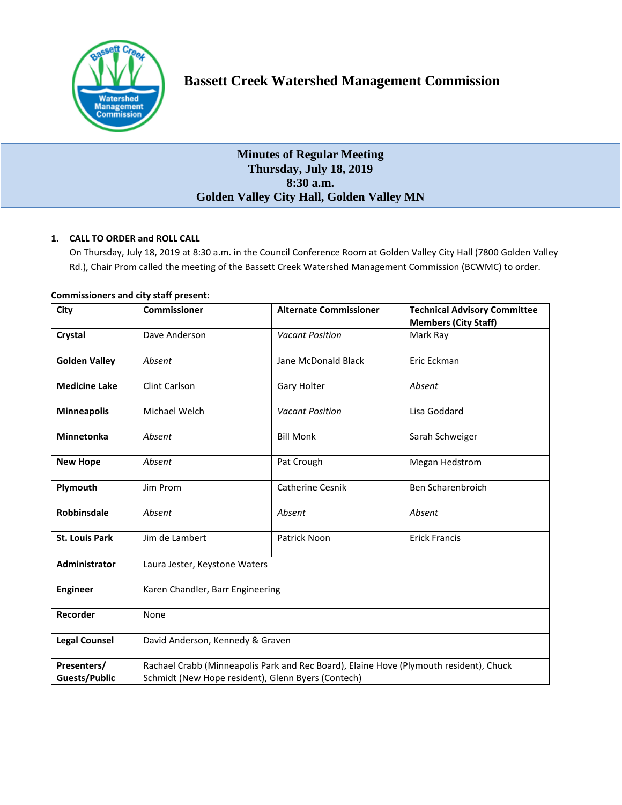

# **Bassett Creek Watershed Management Commission**

## **Minutes of Regular Meeting Thursday, July 18, 2019 8:30 a.m. Golden Valley City Hall, Golden Valley MN**

## **1. CALL TO ORDER and ROLL CALL**

On Thursday, July 18, 2019 at 8:30 a.m. in the Council Conference Room at Golden Valley City Hall (7800 Golden Valley Rd.), Chair Prom called the meeting of the Bassett Creek Watershed Management Commission (BCWMC) to order.

| City                                | <b>Commissioner</b>                                                                                                                          | <b>Alternate Commissioner</b> | <b>Technical Advisory Committee</b><br><b>Members (City Staff)</b> |
|-------------------------------------|----------------------------------------------------------------------------------------------------------------------------------------------|-------------------------------|--------------------------------------------------------------------|
| Crystal                             | Dave Anderson                                                                                                                                | <b>Vacant Position</b>        | Mark Ray                                                           |
| <b>Golden Valley</b>                | Absent                                                                                                                                       | Jane McDonald Black           | Eric Eckman                                                        |
| <b>Medicine Lake</b>                | Clint Carlson                                                                                                                                | Gary Holter                   | Absent                                                             |
| <b>Minneapolis</b>                  | Michael Welch                                                                                                                                | <b>Vacant Position</b>        | Lisa Goddard                                                       |
| <b>Minnetonka</b>                   | Absent                                                                                                                                       | <b>Bill Monk</b>              | Sarah Schweiger                                                    |
| <b>New Hope</b>                     | Absent                                                                                                                                       | Pat Crough                    | Megan Hedstrom                                                     |
| Plymouth                            | Jim Prom                                                                                                                                     | <b>Catherine Cesnik</b>       | Ben Scharenbroich                                                  |
| <b>Robbinsdale</b>                  | Absent                                                                                                                                       | Absent                        | Absent                                                             |
| <b>St. Louis Park</b>               | Jim de Lambert                                                                                                                               | Patrick Noon                  | <b>Erick Francis</b>                                               |
| <b>Administrator</b>                | Laura Jester, Keystone Waters                                                                                                                |                               |                                                                    |
| <b>Engineer</b>                     | Karen Chandler, Barr Engineering                                                                                                             |                               |                                                                    |
| Recorder                            | None                                                                                                                                         |                               |                                                                    |
| <b>Legal Counsel</b>                | David Anderson, Kennedy & Graven                                                                                                             |                               |                                                                    |
| Presenters/<br><b>Guests/Public</b> | Rachael Crabb (Minneapolis Park and Rec Board), Elaine Hove (Plymouth resident), Chuck<br>Schmidt (New Hope resident), Glenn Byers (Contech) |                               |                                                                    |

## **Commissioners and city staff present:**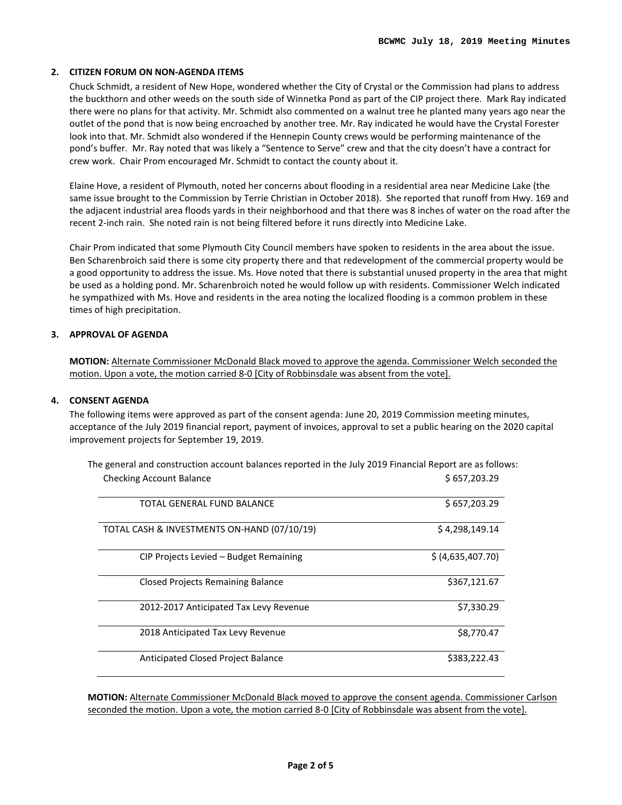## **2. CITIZEN FORUM ON NON-AGENDA ITEMS**

Chuck Schmidt, a resident of New Hope, wondered whether the City of Crystal or the Commission had plans to address the buckthorn and other weeds on the south side of Winnetka Pond as part of the CIP project there. Mark Ray indicated there were no plans for that activity. Mr. Schmidt also commented on a walnut tree he planted many years ago near the outlet of the pond that is now being encroached by another tree. Mr. Ray indicated he would have the Crystal Forester look into that. Mr. Schmidt also wondered if the Hennepin County crews would be performing maintenance of the pond's buffer. Mr. Ray noted that was likely a "Sentence to Serve" crew and that the city doesn't have a contract for crew work. Chair Prom encouraged Mr. Schmidt to contact the county about it.

Elaine Hove, a resident of Plymouth, noted her concerns about flooding in a residential area near Medicine Lake (the same issue brought to the Commission by Terrie Christian in October 2018). She reported that runoff from Hwy. 169 and the adjacent industrial area floods yards in their neighborhood and that there was 8 inches of water on the road after the recent 2-inch rain. She noted rain is not being filtered before it runs directly into Medicine Lake.

Chair Prom indicated that some Plymouth City Council members have spoken to residents in the area about the issue. Ben Scharenbroich said there is some city property there and that redevelopment of the commercial property would be a good opportunity to address the issue. Ms. Hove noted that there is substantial unused property in the area that might be used as a holding pond. Mr. Scharenbroich noted he would follow up with residents. Commissioner Welch indicated he sympathized with Ms. Hove and residents in the area noting the localized flooding is a common problem in these times of high precipitation.

## **3. APPROVAL OF AGENDA**

**MOTION:** Alternate Commissioner McDonald Black moved to approve the agenda. Commissioner Welch seconded the motion. Upon a vote, the motion carried 8-0 [City of Robbinsdale was absent from the vote].

#### **4. CONSENT AGENDA**

The following items were approved as part of the consent agenda: June 20, 2019 Commission meeting minutes, acceptance of the July 2019 financial report, payment of invoices, approval to set a public hearing on the 2020 capital improvement projects for September 19, 2019.

| <b>Checking Account Balance</b>             | \$657,203.29      |
|---------------------------------------------|-------------------|
| TOTAL GENERAL FUND BALANCE                  | \$657,203.29      |
| TOTAL CASH & INVESTMENTS ON-HAND (07/10/19) | \$4,298,149.14    |
| CIP Projects Levied – Budget Remaining      | \$ (4,635,407.70) |
| <b>Closed Projects Remaining Balance</b>    | \$367,121.67      |
| 2012-2017 Anticipated Tax Levy Revenue      | \$7,330.29        |
| 2018 Anticipated Tax Levy Revenue           | \$8,770.47        |
| Anticipated Closed Project Balance          | \$383,222.43      |

The general and construction account balances reported in the July 2019 Financial Report are as follows:

**MOTION:** Alternate Commissioner McDonald Black moved to approve the consent agenda. Commissioner Carlson seconded the motion. Upon a vote, the motion carried 8-0 [City of Robbinsdale was absent from the vote].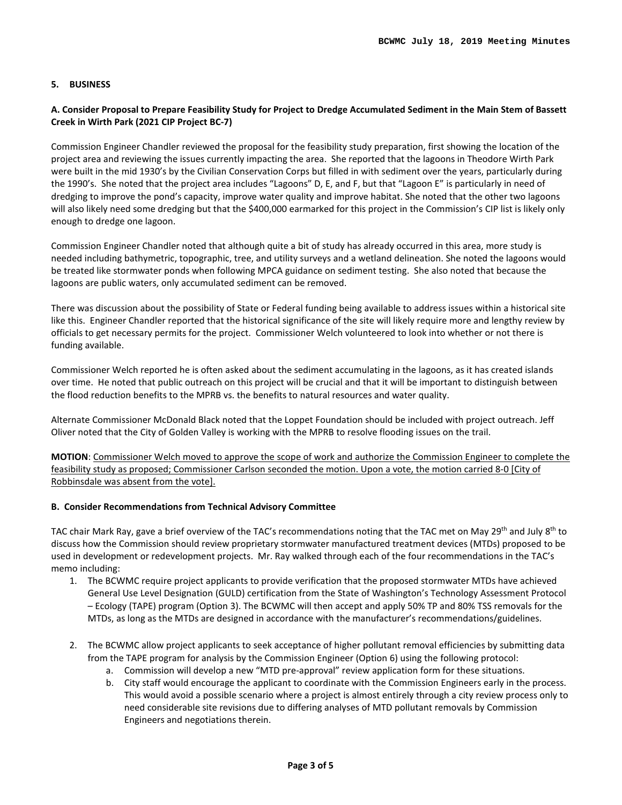## **5. BUSINESS**

## **A. Consider Proposal to Prepare Feasibility Study for Project to Dredge Accumulated Sediment in the Main Stem of Bassett Creek in Wirth Park (2021 CIP Project BC-7)**

Commission Engineer Chandler reviewed the proposal for the feasibility study preparation, first showing the location of the project area and reviewing the issues currently impacting the area. She reported that the lagoons in Theodore Wirth Park were built in the mid 1930's by the Civilian Conservation Corps but filled in with sediment over the years, particularly during the 1990's. She noted that the project area includes "Lagoons" D, E, and F, but that "Lagoon E" is particularly in need of dredging to improve the pond's capacity, improve water quality and improve habitat. She noted that the other two lagoons will also likely need some dredging but that the \$400,000 earmarked for this project in the Commission's CIP list is likely only enough to dredge one lagoon.

Commission Engineer Chandler noted that although quite a bit of study has already occurred in this area, more study is needed including bathymetric, topographic, tree, and utility surveys and a wetland delineation. She noted the lagoons would be treated like stormwater ponds when following MPCA guidance on sediment testing. She also noted that because the lagoons are public waters, only accumulated sediment can be removed.

There was discussion about the possibility of State or Federal funding being available to address issues within a historical site like this. Engineer Chandler reported that the historical significance of the site will likely require more and lengthy review by officials to get necessary permits for the project. Commissioner Welch volunteered to look into whether or not there is funding available.

Commissioner Welch reported he is often asked about the sediment accumulating in the lagoons, as it has created islands over time. He noted that public outreach on this project will be crucial and that it will be important to distinguish between the flood reduction benefits to the MPRB vs. the benefits to natural resources and water quality.

Alternate Commissioner McDonald Black noted that the Loppet Foundation should be included with project outreach. Jeff Oliver noted that the City of Golden Valley is working with the MPRB to resolve flooding issues on the trail.

**MOTION**: Commissioner Welch moved to approve the scope of work and authorize the Commission Engineer to complete the feasibility study as proposed; Commissioner Carlson seconded the motion. Upon a vote, the motion carried 8-0 [City of Robbinsdale was absent from the vote].

#### **B. Consider Recommendations from Technical Advisory Committee**

TAC chair Mark Ray, gave a brief overview of the TAC's recommendations noting that the TAC met on May 29<sup>th</sup> and July 8<sup>th</sup> to discuss how the Commission should review proprietary stormwater manufactured treatment devices (MTDs) proposed to be used in development or redevelopment projects. Mr. Ray walked through each of the four recommendations in the TAC's memo including:

- 1. The BCWMC require project applicants to provide verification that the proposed stormwater MTDs have achieved General Use Level Designation (GULD) certification from the State of Washington's Technology Assessment Protocol – Ecology (TAPE) program (Option 3). The BCWMC will then accept and apply 50% TP and 80% TSS removals for the MTDs, as long as the MTDs are designed in accordance with the manufacturer's recommendations/guidelines.
- 2. The BCWMC allow project applicants to seek acceptance of higher pollutant removal efficiencies by submitting data from the TAPE program for analysis by the Commission Engineer (Option 6) using the following protocol:
	- a. Commission will develop a new "MTD pre-approval" review application form for these situations.
	- b. City staff would encourage the applicant to coordinate with the Commission Engineers early in the process. This would avoid a possible scenario where a project is almost entirely through a city review process only to need considerable site revisions due to differing analyses of MTD pollutant removals by Commission Engineers and negotiations therein.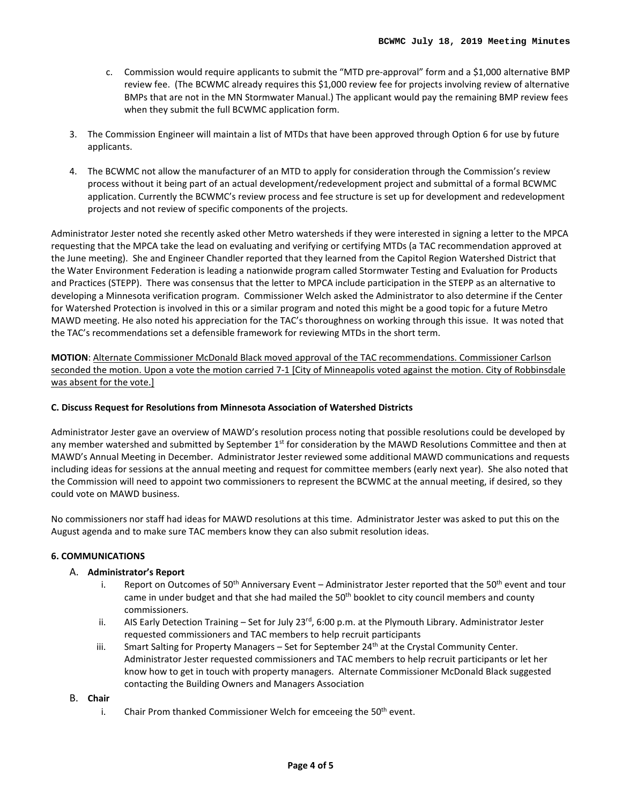- c. Commission would require applicants to submit the "MTD pre-approval" form and a \$1,000 alternative BMP review fee. (The BCWMC already requires this \$1,000 review fee for projects involving review of alternative BMPs that are not in the MN Stormwater Manual.) The applicant would pay the remaining BMP review fees when they submit the full BCWMC application form.
- 3. The Commission Engineer will maintain a list of MTDs that have been approved through Option 6 for use by future applicants.
- 4. The BCWMC not allow the manufacturer of an MTD to apply for consideration through the Commission's review process without it being part of an actual development/redevelopment project and submittal of a formal BCWMC application. Currently the BCWMC's review process and fee structure is set up for development and redevelopment projects and not review of specific components of the projects.

Administrator Jester noted she recently asked other Metro watersheds if they were interested in signing a letter to the MPCA requesting that the MPCA take the lead on evaluating and verifying or certifying MTDs (a TAC recommendation approved at the June meeting). She and Engineer Chandler reported that they learned from the Capitol Region Watershed District that the Water Environment Federation is leading a nationwide program called Stormwater Testing and Evaluation for Products and Practices (STEPP). There was consensus that the letter to MPCA include participation in the STEPP as an alternative to developing a Minnesota verification program. Commissioner Welch asked the Administrator to also determine if the Center for Watershed Protection is involved in this or a similar program and noted this might be a good topic for a future Metro MAWD meeting. He also noted his appreciation for the TAC's thoroughness on working through this issue. It was noted that the TAC's recommendations set a defensible framework for reviewing MTDs in the short term.

**MOTION**: Alternate Commissioner McDonald Black moved approval of the TAC recommendations. Commissioner Carlson seconded the motion. Upon a vote the motion carried 7-1 [City of Minneapolis voted against the motion. City of Robbinsdale was absent for the vote.]

## **C. Discuss Request for Resolutions from Minnesota Association of Watershed Districts**

Administrator Jester gave an overview of MAWD's resolution process noting that possible resolutions could be developed by any member watershed and submitted by September  $1<sup>st</sup>$  for consideration by the MAWD Resolutions Committee and then at MAWD's Annual Meeting in December. Administrator Jester reviewed some additional MAWD communications and requests including ideas for sessions at the annual meeting and request for committee members (early next year). She also noted that the Commission will need to appoint two commissioners to represent the BCWMC at the annual meeting, if desired, so they could vote on MAWD business.

No commissioners nor staff had ideas for MAWD resolutions at this time. Administrator Jester was asked to put this on the August agenda and to make sure TAC members know they can also submit resolution ideas.

## **6. COMMUNICATIONS**

## A. **Administrator's Report**

- i. Report on Outcomes of  $50^{th}$  Anniversary Event Administrator Jester reported that the  $50^{th}$  event and tour came in under budget and that she had mailed the 50<sup>th</sup> booklet to city council members and county commissioners.
- ii. AIS Early Detection Training Set for July 23<sup>rd</sup>, 6:00 p.m. at the Plymouth Library. Administrator Jester requested commissioners and TAC members to help recruit participants
- iii. Smart Salting for Property Managers  $-$  Set for September 24<sup>th</sup> at the Crystal Community Center. Administrator Jester requested commissioners and TAC members to help recruit participants or let her know how to get in touch with property managers. Alternate Commissioner McDonald Black suggested contacting the Building Owners and Managers Association
- B. **Chair**
	- i. Chair Prom thanked Commissioner Welch for emceeing the  $50<sup>th</sup>$  event.